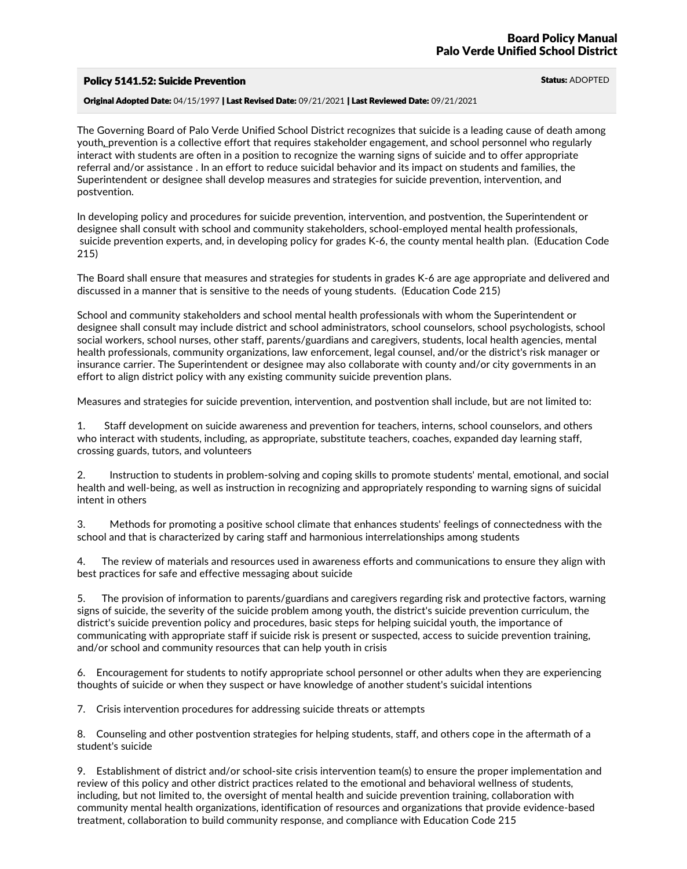## **Policy 5141.52: Suicide Prevention Status: ADOPTED** Status: ADOPTED

Original Adopted Date: 04/15/1997 | Last Revised Date: 09/21/2021 | Last Reviewed Date: 09/21/2021

The Governing Board of Palo Verde Unified School District recognizes that suicide is a leading cause of death among youth*,* prevention is a collective effort that requires stakeholder engagement, and school personnel who regularly interact with students are often in a position to recognize the warning signs of suicide and to offer appropriate referral and/or assistance . In an effort to reduce suicidal behavior and its impact on students and families, the Superintendent or designee shall develop measures and strategies for suicide prevention, intervention, and postvention.

In developing policy and procedures for suicide prevention, intervention, and postvention, the Superintendent or designee shall consult with school and community stakeholders, school-employed mental health professionals, suicide prevention experts, and, in developing policy for grades K-6, the county mental health plan. (Education Co 215)

The Board shall ensure that measures and strategies for students in grades K-6 are age appropriate and delivered and discussed in a manner that is sensitive to the needs of young students. (Education Code 215)

School and community stakeholders and school mental health professionals with whom the Superintendent or designee shall consult may include district and school administrators, school counselors, school psychologists, school social workers, school nurses, other staff, parents/guardians and caregivers, students, local health agencies, mental health professionals, community organizations, law enforcement, legal counsel, and/or the district's risk manager or insurance carrier. The Superintendent or designee may also collaborate with county and/or city governments in an effort to align district policy with any existing community suicide prevention plans.

Measures and strategies for suicide prevention, intervention, and postvention shall include, but are not limited to:

1. Staff development on suicide awareness and prevention for teachers, interns, school counselors, and others who interact with students, including, as appropriate, substitute teachers, coaches, expanded day learning staff, crossing guards, tutors, and volunteers

2. Instruction to students in problem-solving and coping skills to promote students' mental, emotional, and social health and well-being, as well as instruction in recognizing and appropriately responding to warning signs of suicidal intent in others

3. Methods for promoting a positive school climate that enhances students' feelings of connectedness with the school and that is characterized by caring staff and harmonious interrelationships among students

4. The review of materials and resources used in awareness efforts and communications to ensure they align with best practices for safe and effective messaging about suicide

5. The provision of information to parents/guardians and caregivers regarding risk and protective factors, warning signs of suicide, the severity of the suicide problem among youth, the district's suicide prevention curriculum, the district's suicide prevention policy and procedures, basic steps for helping suicidal youth, the importance of communicating with appropriate staff if suicide risk is present or suspected, access to suicide prevention training, and/or school and community resources that can help youth in crisis

6. Encouragement for students to notify appropriate school personnel or other adults when they are experiencing thoughts of suicide or when they suspect or have knowledge of another student's suicidal intentions

7. Crisis intervention procedures for addressing suicide threats or attempts

8. Counseling and other postvention strategies for helping students, staff, and others cope in the aftermath of a student's suicide

9. Establishment of district and/or school-site crisis intervention team(s) to ensure the proper implementation and review of this policy and other district practices related to the emotional and behavioral wellness of students, including, but not limited to, the oversight of mental health and suicide prevention training, collaboration with community mental health organizations, identification of resources and organizations that provide evidence-based treatment, collaboration to build community response, and compliance with Education Code 215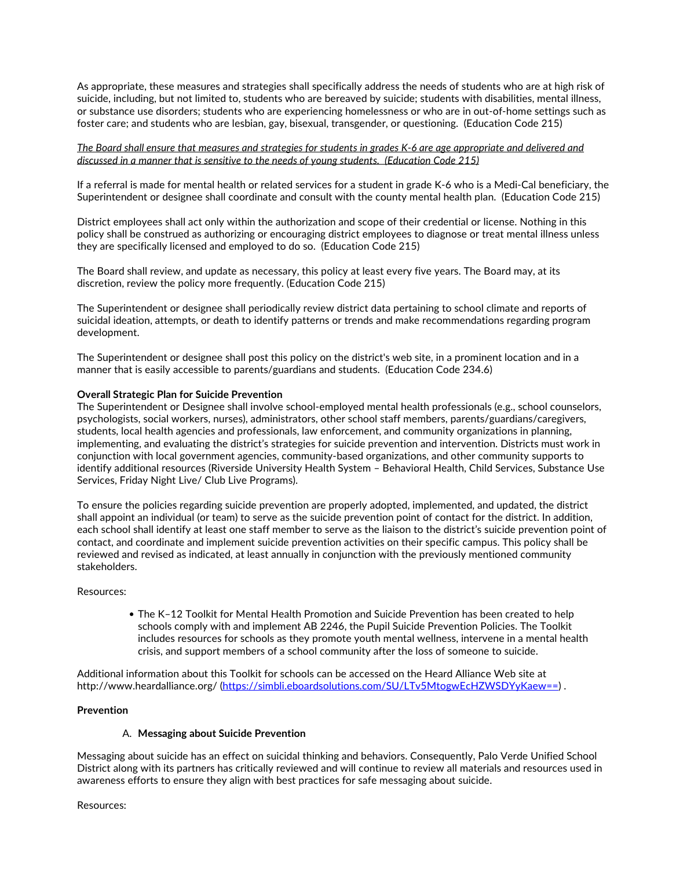As appropriate, these measures and strategies shall specifically address the needs of students who are at high risk of suicide, including, but not limited to, students who are bereaved by suicide; students with disabilities, mental illness,<br>or substance use disorders; students who are experiencing homelessness or who are in out-of-home set foster care; and students who are lesbian, gay, bisexual, transgender, or questioning. (Education Code 215)

## The Board shall ensure that measures and strategies for students in grades K-6 are age appropriate and delivered and *discussed in a manner that is sensitive to the needs of young students. (Education Code 215)*

If a referral is made for mental health or related services for a student in grade K-6 who is a Medi-Cal beneficiary, the Superintendent or designee shall coordinate and consult with the county mental health plan. (Education Code 215)

District employees shall act only within the authorization and scope of their credential or license. Nothing in this policy shall be construed as authorizing or encouraging district employees to diagnose or treat mental illness unless they are specifically licensed and employed to do so. (Education Code 215)

The Board shall review, and update as necessary, this policy at least every five years. The Board may, at its discretion, review the policy more frequently. (Education Code 215)

The Superintendent or designee shall periodically review district data pertaining to school climate and reports of suicidal ideation, attempts, or death to identify patterns or trends and make recommendations regarding program development.

The Superintendent or designee shall post this policy on the district's web site, in a prominent location and in a manner that is easily accessible to parents/guardians and students. (Education Code 234.6)

#### **Overall Strategic Plan for Suicide Prevention**

The Superintendent or Designee shall involve school-employed mental health professionals (e.g., school counselors, psychologists, social workers, nurses), administrators, other school staff members, parents/guardians/careg implementing, and evaluating the district's strategies for suicide prevention and intervention. Districts must work in conjunction with local government agencies, community-based organizations, and other community supports to identify additional resources (Riverside University Health System – Behavioral Health, Child Services, Substance Use Services, Friday Night Live/ Club Live Programs).

To ensure the policies regarding suicide prevention are properly adopted, implemented, and updated, the district shall appoint an individual (or team) to serve as the suicide prevention point of contact for the district. In addition,<br>each school shall identify at least one staff member to serve as the liaison to the district's suicid contact, and coordinate and implement suicide prevention activities on their specific campus. This policy shall be reviewed and revised as indicated, at least annually in conjunction with the previously mentioned community stakeholders.

#### Resources:

The K–12 Toolkit for Mental Health Promotion and Suicide Prevention has been created to help schools comply with and implement AB 2246, the Pupil Suicide Prevention Policies. The Toolkit includes resources for schools as they promote youth mental wellness, intervene in a mental health crisis, and support members of a school community after the loss of someone to suicide.

Additional information about this Toolkit for schools can be accessed on the Heard Alliance Web site at http://www.heardalliance.org/ (https://simbli.eboardsolutions.com/SU/LTv5MtogwEcHZWSDYyKaew==) .

### **Prevention**

#### A. **Messaging about Suicide Prevention**

Messaging about suicide has an effect on suicidal thinking and behaviors. Consequently, Palo Verde Unified School District along with its partners has critically reviewed and will continue to review all materials and resources used in awareness efforts to ensure they align with best practices for safe messaging about suicide.

Resources: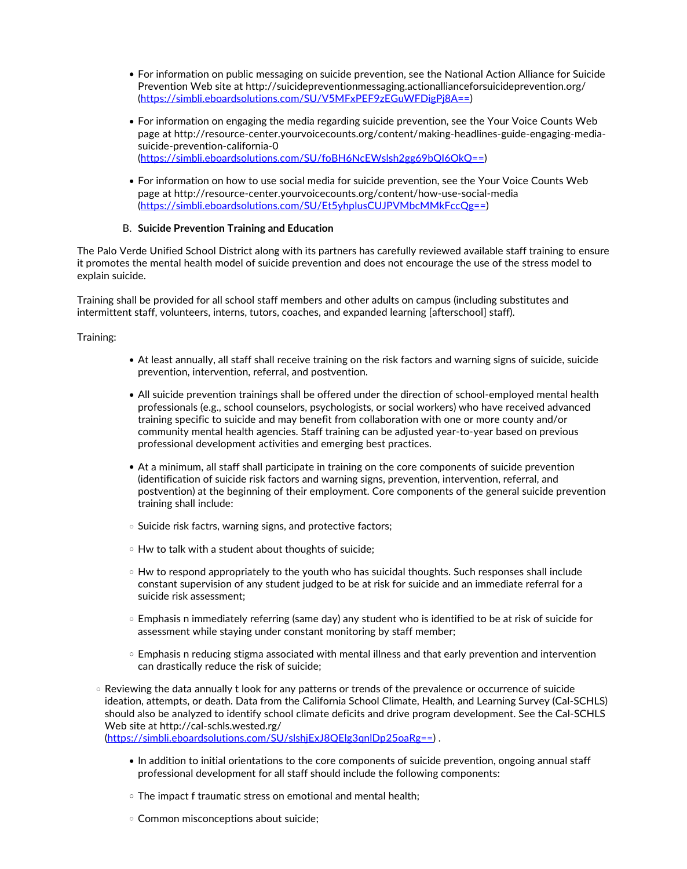- For information on public messaging on suicide prevention, see the National Action Alliance for Suicide Prevention Web site at http://suicidepreventionmessaging.actionallianceforsuicideprevention.org/ (https://simbli.eboardsolutions.com/SU/V5MFxPEF9zEGuWFDigPj8A==)
- For information on engaging the media regarding suicide prevention, see the Your Voice Counts Web page at http://resource-center.yourvoicecounts.org/content/making-headlines-guide-engaging-media suicide-prevention-california-0 (https://simbli.eboardsolutions.com/SU/foBH6NcEWslsh2gg69bQI6OkQ==)
- For information on how to use social media for suicide prevention, see the Your Voice Counts Web page at http://resource-center.yourvoicecounts.org/content/how-use-social-media (https://simbli.eboardsolutions.com/SU/Et5yhplusCUJPVMbcMMkFccQg==)

## B. **Suicide Prevention Training and Education**

The Palo Verde Unified School District along with its partners has carefully reviewed available staff training to ensure it promotes the mental health model of suicide prevention and does not encourage the use of the stress model to explain suicide.

Training shall be provided for all school staff members and other adults on campus (including substitutes and intermittent staff, volunteers, interns, tutors, coaches, and expanded learning [afterschool] staff).

Training:

- At least annually, all staff shall receive training on the risk factors and warning signs of suicide, suicide prevention, intervention, referral, and postvention.
- All suicide prevention trainings shall be offered under the direction of school-employed mental health professionals (e.g., school counselors, psychologists, or social workers) who have received advanced training specific to suicide and may benefit from collaboration with one or more county and/or community mental health agencies. Staff training can be adjusted year-to-year based on previous professional development activities and emerging best practices.
- At a minimum, all staff shall participate in training on the core components of suicide prevention (identification of suicide risk factors and warning signs, prevention, intervention, referral, and postvention) at the beginning of their employment. Core components of the general suicide prevention training shall include:
- $\circ$  Suicide risk factrs, warning signs, and protective factors;
- $\circ$  Hw to talk with a student about thoughts of suicide;
- o Hw to respond appropriately to the youth who has suicidal thoughts. Such responses shall include constant supervision of any student judged to be at risk for suicide and an immediate referral for a suicide risk assessment;
- Emphasis n immediately referring (same day) any student who is identified to be at risk of suicide for assessment while staying under constant monitoring by staff member;
- Emphasis n reducing stigma associated with mental illness and that early prevention and intervention can drastically reduce the risk of suicide;
- $\circ$  Reviewing the data annually t look for any patterns or trends of the prevalence or occurrence of suicide ideation, attempts, or death. Data from the California School Climate, Health, and Learning Survey (Cal-SCHLS) should also be analyzed to identify school climate deficits and drive program development. See the Cal-SCHLS Web site at http://cal-schls.wested.rg/

(https://simbli.eboardsolutions.com/SU/slshjExJ8QElg3qnlDp25oaRg==) .

- $\bullet$  In addition to initial orientations to the core components of suicide prevention, ongoing annual staff professional development for all staff should include the following components:
- The impact f traumatic stress on emotional and mental health;
- Common misconceptions about suicide;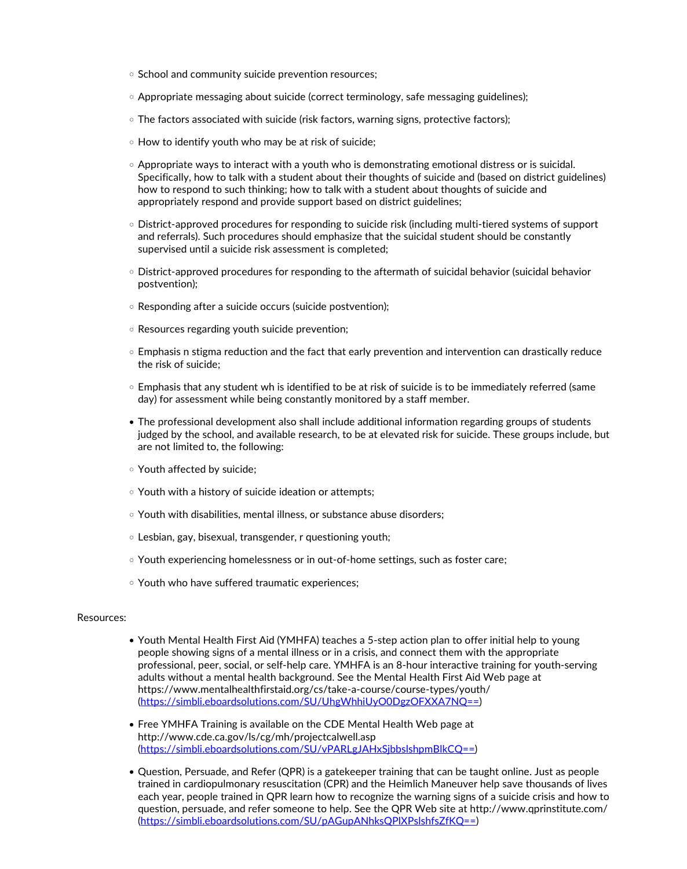- $\circ$  School and community suicide prevention resources;
- $\circ$  Appropriate messaging about suicide (correct terminology, safe messaging guidelines);
- $\circ$  The factors associated with suicide (risk factors, warning signs, protective factors);
- How to identify youth who may be at risk of suicide;
- $\circ$  Appropriate ways to interact with a youth who is demonstrating emotional distress or is suicidal.<br>Specifically, how to talk with a student about their thoughts of suicide and (based on district guidelines) how to respond to such thinking; how to talk with a student about thoughts of suicide and appropriately respond and provide support based on district guidelines;
- District-approved procedures for responding to suicide risk (including multi-tiered systems of support and referrals). Such procedures should emphasize that the suicidal student should be constantly supervised until a suicide risk assessment is completed;
- District-approved procedures for responding to the aftermath of suicidal behavior (suicidal behavior postvention);
- Responding after a suicide occurs (suicide postvention);
- Resources regarding youth suicide prevention;
- $\circ$  Emphasis n stigma reduction and the fact that early prevention and intervention can drastically reduce the risk of suicide;
- Emphasis that any student wh is identified to be at risk of suicide is to be immediately referred (same day) for assessment while being constantly monitored by a staff member.
- The professional development also shall include additional information regarding groups of students judged by the school, and available research, to be at elevated risk for suicide. These groups include, but are not limited to, the following:
- Youth affected by suicide;
- Youth with a history of suicide ideation or attempts;
- Youth with disabilities, mental illness, or substance abuse disorders;
- Lesbian, gay, bisexual, transgender, r questioning youth;
- Youth experiencing homelessness or in out-of-home settings, such as foster care;
- Youth who have suffered traumatic experiences;

#### Resources:

- Youth Mental Health First Aid (YMHFA) teaches a 5-step action plan to offer initial help to young people showing signs of a mental illness or in a crisis, and connect them with the appropriate professional, peer, social, or self-help care. YMHFA is an 8-hour interactive training for youth-serving adults without a mental health background. See the Mental Health First Aid Web page at https://www.mentalhealthfirstaid.org/cs/take-a-course/course-types/youth/ (https://simbli.eboardsolutions.com/SU/UhgWhhiUyO0DgzOFXXA7NQ==)
- Free YMHFA Training is available on the CDE Mental Health Web page at http://www.cde.ca.gov/ls/cg/mh/projectcalwell.asp (https://simbli.eboardsolutions.com/SU/vPARLgJAHxSjbbslshpmBlkCQ==)
- Question, Persuade, and Refer (QPR) is a gatekeeper training that can be taught online. Just as people trained in cardiopulmonary resuscitation (CPR) and the Heimlich Maneuver help save thousands of lives each year, people trained in QPR learn how to recognize the warning signs of a suicide crisis and how to question, persuade, and refer someone to help. See the QPR Web site at http://www.qprinstitute.com/ (https://simbli.eboardsolutions.com/SU/pAGupANhksQPlXPslshfsZfKQ==)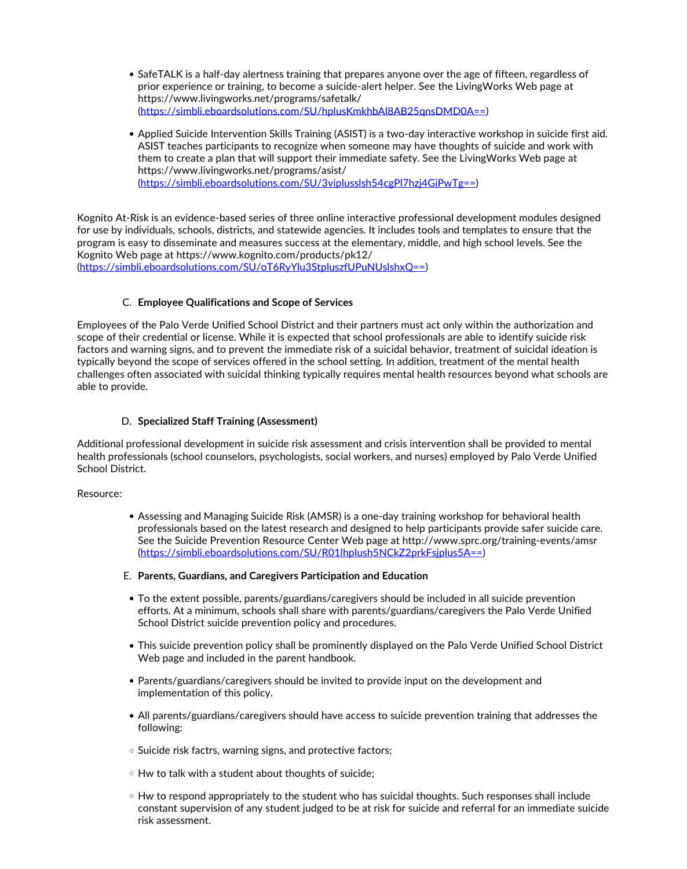- SafeTALK is a half-day alertness training that prepares anyone over the age of fifteen, regardless of prior experience or training, to become a suicide-alert helper. See the LivingWorks Web page at https://www.livingworks.net/programs/safetalk/ (https://simbli.eboardsolutions.com/SU/hplusKmkhbAl8AB25qnsDMD0A==)
- Applied Suicide Intervention Skills Training (ASIST) is <sup>a</sup> two-day interactive workshop in suicide first aid. ASIST teaches participants to recognize when someone may have thoughts of suicide and work with them to create a plan that will support their immediate safety. See the LivingWorks Web page at https://www.livingworks.net/programs/asist/ (https://simbli.eboardsolutions.com/SU/3viplusslsh54cgPl7hzj4GiPwTg==)

Kognito At-Risk is an evidence-based series of three online interactive professional development modules designed for use by individuals, schools, districts, and statewide agencies. It includes tools and templates to ensure that the program is easy to disseminate and measures success at the elementary, middle, and high school levels. See the Kognito Web page at https://www.kognito.com/products/pk12/

(https://simbli.eboardsolutions.com/SU/oT6RyYlu3StpluszfUPuNUslshxQ==)

## C. **Employee Qualifications and Scope of Services**

Employees of the Palo Verde Unified School District and their partners must act only within the authorization and scope of their credential or license. While it is expected that school professionals are able to identify suicide risk factors and warning signs, and to prevent the immediate risk of a suicidal behavior, treatment of suicidal ideation is typically beyond the scope of services offered in the school setting. In addition, treatment of the mental health challenges often associated with suicidal thinking typically requires mental health resources beyond what schools are able to provide.

## D. **Specialized Staff Training (Assessment)**

Additional professional development in suicide risk assessment and crisis intervention shall be provided to mental health professionals (school counselors, psychologists, social workers, and nurses) employed by Palo Verde Unified School District.

## Resource:

- Assessing and Managing Suicide Risk (AMSR) is a one-day training workshop for behavioral health professionals based on the latest research and designed to help participants provide safer suicide care.<br>See the Suicide Prevention Resource Center Web page at http://www.sprc.org/training-events/amsr (https://simbli.eboardsolutions.com/SU/R01lhplush5NCkZ2prkFsjplus5A==)
- E. **Parents, Guardians, and Caregivers Participation and Education**
- To the extent possible, parents/guardians/caregivers should be included in all suicide prevention efforts. At a minimum, schools shall share with parents/guardians/caregivers the Palo Verde Unified School District suicide prevention policy and procedures.
- This suicide prevention policy shall be prominently displayed on the Palo Verde Unified School District Web page and included in the parent handbook.
- Parents/guardians/caregivers should be invited to provide input on the development and implementation of this policy.
- All parents/guardians/caregivers should have access to suicide prevention training that addresses the following:
- o Suicide risk factrs, warning signs, and protective factors;
- Hw to talk with a student about thoughts of suicide;
- $\circ$  Hw to respond appropriately to the student who has suicidal thoughts. Such responses shall include constant supervision of any student judged to be at risk for suicide and referral for an immediate suicide risk assessment.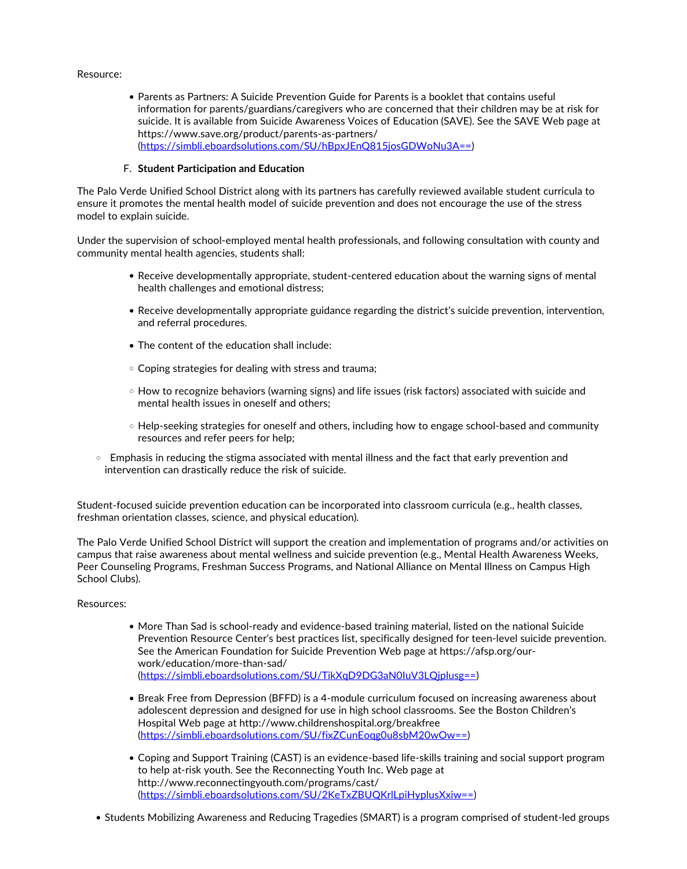#### Resource:

Parents as Partners: A Suicide Prevention Guide for Parents is a booklet that contains useful information for parents/guardians/caregivers who are concerned that their children may be at risk for suicide. It is available from Suicide Awareness Voices of Education (SAVE). See the SAVE Web page at https://www.save.org/product/parents-as-partners/ (https://simbli.eboardsolutions.com/SU/hBpxJEnQ815josGDWoNu3A==)

## F. **Student Participation and Education**

The Palo Verde Unified School District along with its partners has carefully reviewed available student curricula to ensure it promotes the mental health model of suicide prevention and does not encourage the use of the stress model to explain suicide.

Under the supervision of school-employed mental health professionals, and following consultation with county and community mental health agencies, students shall:

- Receive developmentally appropriate, student-centered education about the warning signs of mental health challenges and emotional distress;
- Receive developmentally appropriate guidance regarding the district's suicide prevention, intervention, and referral procedures.
- The content of the education shall include:
- Coping strategies for dealing with stress and trauma;
- $\circ$  How to recognize behaviors (warning signs) and life issues (risk factors) associated with suicide and mental health issues in oneself and others;
- Help-seeking strategies for oneself and others, including how to engage school-based and community resources and refer peers for help;
- $\circ$  Emphasis in reducing the stigma associated with mental illness and the fact that early prevention and intervention can drastically reduce the risk of suicide.

Student-focused suicide prevention education can be incorporated into classroom curricula (e.g., health classes, freshman orientation classes, science, and physical education).

The Palo Verde Unified School District will support the creation and implementation of programs and/or activities on campus that raise awareness about mental wellness and suicide prevention (e.g., Mental Health Awareness Weeks,<br>Peer Counseling Programs, Freshman Success Programs, and National Alliance on Mental Illness on Campus High School Clubs).

#### Resources:

- More Than Sad is school-ready and evidence-based training material, listed on the national Suicide Prevention Resource Center's best practices list, specifically designed for teen-level suicide prevention. See the American Foundation for Suicide Prevention Web page at https://afsp.org/our- work/education/more-than-sad/ (https://simbli.eboardsolutions.com/SU/TikXqD9DG3aN0IuV3LQjplusg==)
- Break Free from Depression (BFFD) is a 4-module curriculum focused on increasing awareness about adolescent depression and designed for use in high school classrooms. See the Boston Children's Hospital Web page at http://www.childrenshospital.org/breakfree (https://simbli.eboardsolutions.com/SU/fixZCunEoqg0u8sbM20wOw==)
- Coping and Support Training (CAST) is an evidence-based life-skills training and social support program to help at-risk youth. See the Reconnecting Youth Inc. Web page at http://www.reconnectingyouth.com/programs/cast/ (https://simbli.eboardsolutions.com/SU/2KeTxZBUQKrlLpiHyplusXxiw==)
- Students Mobilizing Awareness and Reducing Tragedies (SMART) is a program comprised of student-led groups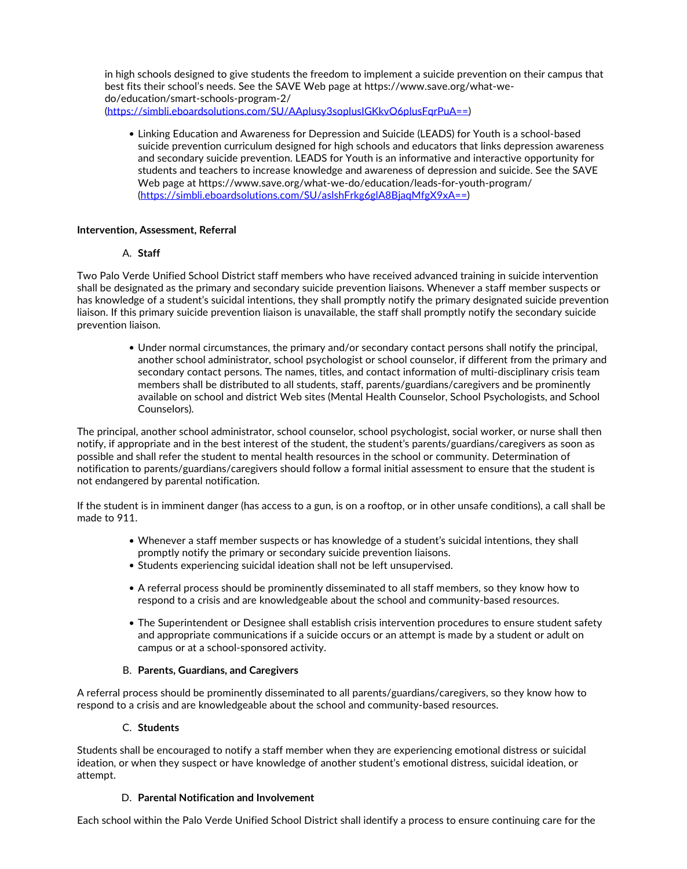in high schools designed to give students the freedom to implement a suicide prevention on their campus that best fits their school's needs. See the SAVE Web page at https://www.save.org/what-we do/education/smart-schools-program-2/ (https://simbli.eboardsolutions.com/SU/AAplusy3soplusIGKkvO6plusFqrPuA==)

Linking Education and Awareness for Depression and Suicide (LEADS) for Youth is a school-based suicide prevention curriculum designed for high schools and educators that links depression awareness and secondary suicide prevention. LEADS for Youth is an informative and interactive opportunity for students and teachers to increase knowledge and awareness of depression and suicide. See the SAVE Web page at https://www.save.org/what-we-do/education/leads-for-youth-program/ (https://simbli.eboardsolutions.com/SU/aslshFrkg6glA8BjaqMfgX9xA==)

## **Intervention, Assessment, Referral**

# A. **Staff**

Two Palo Verde Unified School District staff members who have received advanced training in suicide intervention shall be designated as the primary and secondary suicide prevention liaisons. Whenever a staff member suspects or has knowledge of a student's suicidal intentions, they shall promptly notify the primary designated suicide prevention liaison. If this primary suicide prevention liaison is unavailable, the staff shall promptly notify the secondary suicide prevention liaison.

Under normal circumstances, the primary and/or secondary contact persons shall notify the principal, another school administrator, school psychologist or school counselor, if different from the primary and secondary contact persons. The names, titles, and contact information of multi-disciplinary crisis team members shall be distributed to all students, staff, parents/guardians/caregivers and be prominently available on school and district Web sites (Mental Health Counselor, School Psychologists, and School Counselors).

The principal, another school administrator, school counselor, school psychologist, social worker, or nurse shall then notify, if appropriate and in the best interest of the student, the student's parents/guardians/caregivers as soon as possible and shall refer the student to mental health resources in the school or community. Determination of notification to parents/guardians/caregivers should follow a formal initial assessment to ensure that the student is not endangered by parental notification.

If the student is in imminent danger (has access to a gun, is on a rooftop, or in other unsafe conditions), a call shall be made to 911.<br>Whenever a staff member suspects or has knowledge of a student's suicidal intentions, they shall •

- promptly notify the primary or secondary suicide prevention liaisons.
- Students experiencing suicidal ideation shall not be left unsupervised.
- A referral process should be prominently disseminated to all staff members, so they know how to respond to a crisis and are knowledgeable about the school and community-based resources.
- The Superintendent or Designee shall establish crisis intervention procedures to ensure student safety and appropriate communications if a suicide occurs or an attempt is made by a student or adult on campus or at a school-sponsored activity.

## B. **Parents, Guardians, and Caregivers**

A referral process should be prominently disseminated to all parents/guardians/caregivers, so they know how to respond to a crisis and are knowledgeable about the school and community-based resources.

# C. **Students**

Students shall be encouraged to notify a staff member when they are experiencing emotional distress or suicidal ideation, or when they suspect or have knowledge of another student's emotional distress, suicidal ideation, or attempt.

## D. **Parental Notification and Involvement**

Each school within the Palo Verde Unified School District shall identify a process to ensure continuing care for the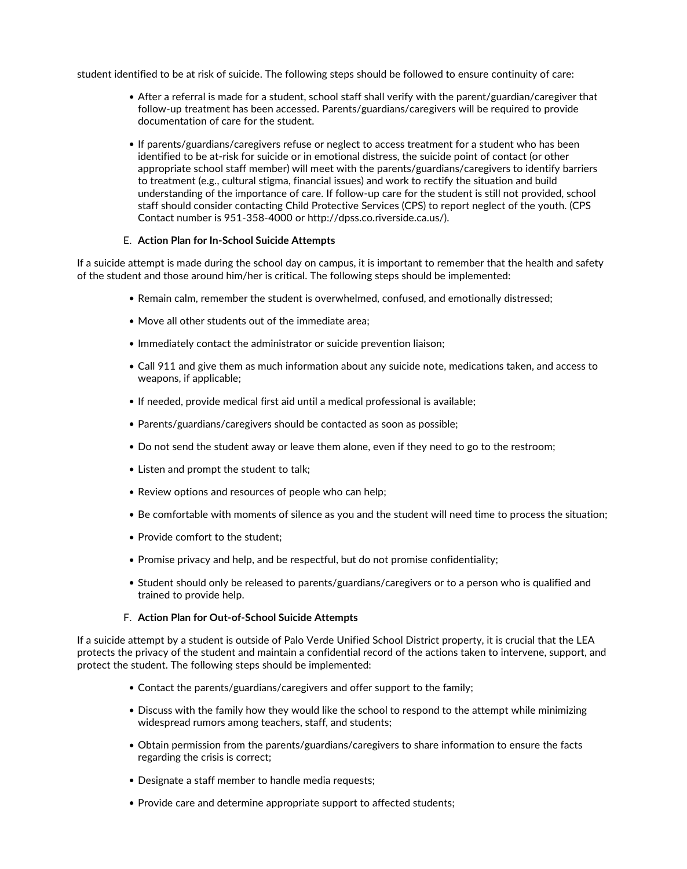student identified to be at risk of suicide. The following steps should be followed to ensure continuity of care:

- After a referral is made for a student, school staff shall verify with the parent/guardian/caregiver that follow-up treatment has been accessed. Parents/guardians/caregivers will be required to provide documentation of care for the student.
- If parents/guardians/caregivers refuse or neglect to access treatment for a student who has been identified to be at-risk for suicide or in emotional distress, the suicide point of contact (or other appropriate school staff member) will meet with the parents/guardians/caregivers to identify barriers to treatment (e.g., cultural stigma, financial issues) and work to rectify the situation and build understanding of the importance of care. If follow-up care for the student is still not provided, school staff should consider contacting Child Protective Services (CPS) to report neglect of the youth. (CPS Contact number is 951-358-4000 or http://dpss.co.riverside.ca.us/).

## E. **Action Plan for In-School Suicide Attempts**

If a suicide attempt is made during the school day on campus, it is important to remember that the health and safety of the student and those around him/her is critical. The following steps should be implemented:

- Remain calm, remember the student is overwhelmed, confused, and emotionally distressed;
- Move all other students out of the immediate area;
- Immediately contact the administrator or suicide prevention liaison;
- Call 911 and give them as much information about any suicide note, medications taken, and access to weapons, if applicable;
- If needed, provide medical first aid until a medical professional is available;
- Parents/guardians/caregivers should be contacted as soon as possible;
- Do not send the student away or leave them alone, even if they need to go to the restroom;
- Listen and prompt the student to talk;
- Review options and resources of people who can help;
- Be comfortable with moments of silence as you and the student will need time to process the situation;
- Provide comfort to the student:
- Promise privacy and help, and be respectful, but do not promise confidentiality;
- Student should only be released to parents/guardians/caregivers or to a person who is qualified and trained to provide help.

## F. **Action Plan for Out-of-School Suicide Attempts**

If a suicide attempt by a student is outside of Palo Verde Unified School District property, it is crucial that the LEA protects the privacy of the student and maintain a confidential record of the actions taken to intervene, support, and protect the student. The following steps should be implemented:

- Contact the parents/guardians/caregivers and offer support to the family;
- Discuss with the family how they would like the school to respond to the attempt while minimizing widespread rumors among teachers, staff, and students;
- Obtain permission from the parents/guardians/caregivers to share information to ensure the facts regarding the crisis is correct;
- Designate a staff member to handle media requests;
- Provide care and determine appropriate support to affected students;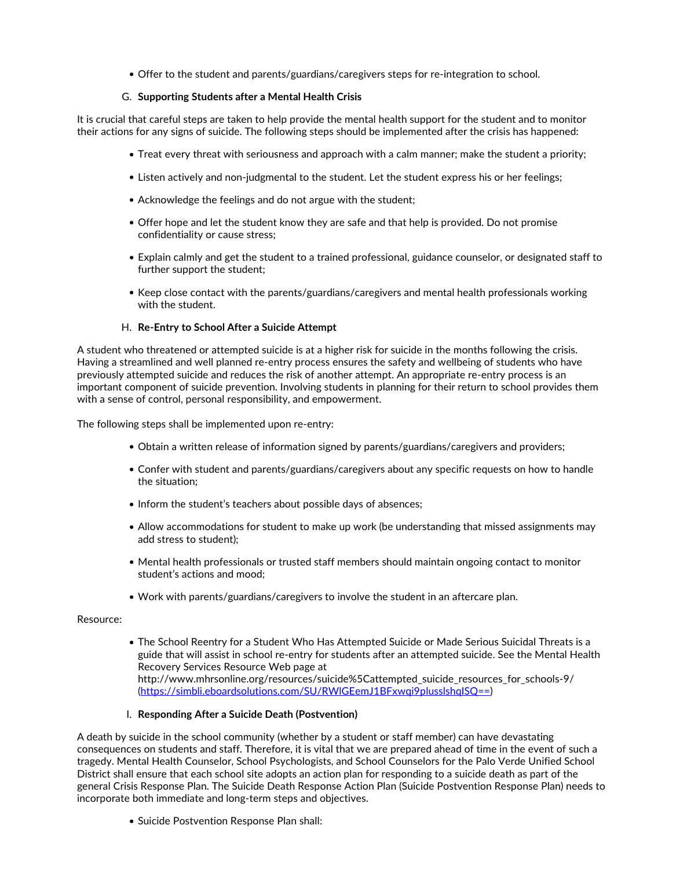Offer to the student and parents/guardians/caregivers steps for re-integration to school.

## G. **Supporting Students after a Mental Health Crisis**

It is crucial that careful steps are taken to help provide the mental health support for the student and to monitor their actions for any signs of suicide. The following steps should be implemented after the crisis has happened:

- Treat every threat with seriousness and approach with a calm manner; make the student a priority;
- Listen actively and non-judgmental to the student. Let the student express his or her feelings;
- Acknowledge the feelings and do not argue with the student;
- Offer hope and let the student know they are safe and that help is provided. Do not promise confidentiality or cause stress;
- Explain calmly and get the student to a trained professional, guidance counselor, or designated staff to further support the student;
- Keep close contact with the parents/guardians/caregivers and mental health professionals working with the student.

## H. **Re-Entry to School After a Suicide Attempt**

A student who threatened or attempted suicide is at a higher risk for suicide in the months following the crisis. Having a streamlined and well planned re-entry process ensures the safety and wellbeing of students who have previously attempted suicide and reduces the risk of another attempt. An appropriate re-entry process is an important component of suicide prevention. Involving students in planning for their return to school provides them with a sense of control, personal responsibility, and empowerment.

The following steps shall be implemented upon re-entry:

- Obtain a written release of information signed by parents/guardians/caregivers and providers;
- Confer with student and parents/guardians/caregivers about any specific requests on how to handle the situation;
- Inform the student's teachers about possible days of absences;
- Allow accommodations for student to make up work (be understanding that missed assignments may add stress to student);
- Mental health professionals or trusted staff members should maintain ongoing contact to monitor student's actions and mood;
- Work with parents/guardians/caregivers to involve the student in an aftercare plan.

#### Resource:

The School Reentry for a Student Who Has Attempted Suicide or Made Serious Suicidal Threats is a guide that will assist in school re-entry for students after an attempted suicide. See the Mental Health Recovery Services Resource Web page at http://www.mhrsonline.org/resources/suicide%5Cattempted\_suicide\_resources\_for\_schools-9/ (https://simbli.eboardsolutions.com/SU/RWlGEemJ1BFxwqi9plusslshqISQ==)

## I. **Responding After a Suicide Death (Postvention)**

A death by suicide in the school community (whether by a student or staff member) can have devastating consequences on students and staff. Therefore, it is vital that we are prepared ahead of time in the event of such a tragedy. Mental Health Counselor, School Psychologists, and School Counselors for the Palo Verde Unified School District shall ensure that each school site adopts an action plan for responding to a suicide death as part of the general Crisis Response Plan. The Suicide Death Response Action Plan (Suicide Postvention Response Plan) needs to incorporate both immediate and long-term steps and objectives.

• Suicide Postvention Response Plan shall: